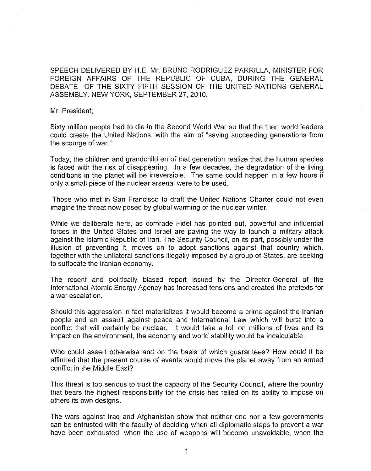SPEECH DELIVERED BY H.E. Mr. BRUNO RODRIGUEZ PARRILLA, MINISTER FOR FOREIGN AFFAIRS OF THE REPUBLIC OF CUBA, DURING THE GENERAL DEBATE OF THE SIXTY FIFTH SESSION OF THE UNITED NATIONS GENERAL ASSEMBLY. NEW YORK, SEPTEMBER 27, 2010.

Mr. President;

Sixty million people had to die in the Second World War so that the then world leaders could create the United Nations, with the aim of "saving succeeding generations from the scourge of war."

Today, the children and grandchildren of that generation realize that the human species is faced with the risk of disappearing. In a few decades, the degradation of the living conditions in the planet will be irreversible. The same could happen in a few hours if only a small piece of the nuclear arsenal were to be used.

Those who met in San Francisco to draft the United Nations Charter could not even imagine the threat now posed by global warming or the nuclear winter.

While we deliberate here, as comrade Fidel has pointed out, powerful and influential forces in the United States and Israel are paving the way to launch a military attack against the Islamic Republic of Iran. The Security Council, on its part, possibly under the illusion of preventing it, moves on to adopt sanctions against that country which, together with the unilateral sanctions illegally imposed by a group of States, are seeking to suffocate the Iranian economy.

The recent and politically biased report issued by the Director-General of the International Atomic Energy Agency has increased tensions and created the pretexts for a war escalation.

Should this aggression in fact materializes it would become a crime against the Iranian people and an assault against peace and International Law which will burst into a conflict that will certainly be nuclear. It would take a toll on millions of lives and its impact on the environment, the economy and world stability would be incalculable.

Who could assert otherwise and on the basis of which guarantees? How could it be affirmed that the present course of events would move the planet away from an armed conflict in the Middle East?

This threat is too serious to trust the capacity of the Security Council, where the country that bears the highest responsibility for the crisis has relied on its ability to impose on others its own designs.

The wars against Iraq and Afghanistan show that neither one nor a few governments can be entrusted with the faculty of deciding when all diplomatic steps to prevent a war have been exhausted, when the use of weapons will become unavoidable, when the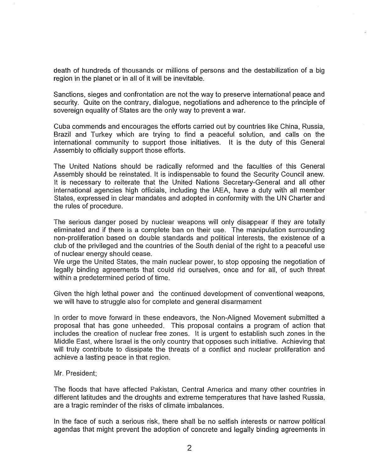death of hundreds of thousands or millions of persons and the destabilization of a big region in the planet or in all of it will be inevitable.

Sanctions, sieges and confrontation are not the way to preserve international peace and security. Quite on the contrary, dialogue, negotiations and adherence to the principle of sovereign equality of States are the only way to prevent a war.

Cuba commends and encourages the efforts carried out by countries like China, Russia, Brazil and Turkey which are trying to find a peaceful solution, and calls on the international community to support those initiatives. It is the duty of this General Assembly to officially support those efforts.

The United Nations should be radically reformed and the faculties of this General Assembly should be reinstated. It is indispensable to found the Security Council anew. It is necessary to reiterate that the United Nations Secretary-General and all other international agencies high officials, including the IAEA, have a duty with all member States, expressed in clear mandates and adopted in conformity with the UN Charter and the rules of procedure.

The serious danger posed by nuclear weapons will only disappear if they are totally eliminated and if there is a complete ban on their use. The manipulation surrounding non-proliferation based on double standards and political interests, the existence of a club of the privileged and the countries of the South denial of the right to a peaceful use of nuclear energy should cease.

We urge the United States, the main nuclear power, to stop opposing the negotiation of legally binding agreements that could rid ourselves, once and for all, of such threat within a predetermined period of time.

Given the high lethal power and the continued development of conventional weapons, we will have to struggle also for complete and general disarmament

In order to move forward in these endeavors, the Non-Aligned Movement submitted a proposal that has gone unheeded. This proposal contains a program of action that includes the creation of nuclear free zones. It is urgent to establish such zones in the Middle East, where Israel is the only country that opposes such initiative. Achieving that will truly contribute to dissipate the threats of a conflict and nuclear proliferation and achieve a lasting peace in that region.

## Mr. President;

The floods that have affected Pakistan, Central America and many other countries in different latitudes and the droughts and extreme temperatures that have lashed Russia, are a tragic reminder of the risks of climate imbalances.

In the face of such a serious risk, there shall be no selfish interests or narrow political agendas that might prevent the adoption of concrete and legally binding agreements in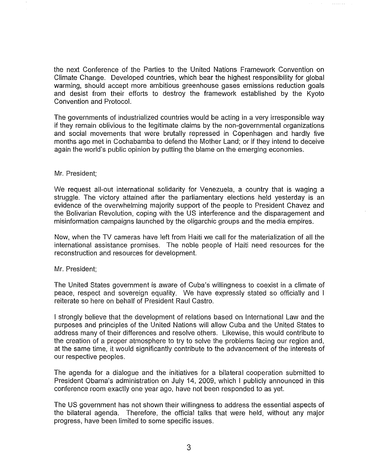the next Conference of the Parties to the United Nations Framework Convention on Climate Change. Developed countries, which bear the highest responsibility for global warming, should accept more ambitious greenhouse gases emissions reduction goals and desist from their efforts to destroy the framework established by the Kyoto Convention and Protocol.

The governments of industrialized countries would be acting in a very irresponsible way if they remain oblivious to the legitimate claims by the non-governmental organizations and social movements that were brutally repressed in Copenhagen and hardly five months ago met in Cochabamba to defend the Mother Land; or if they intend to deceive again the world's public opinion by putting the blame on the emerging economies.

## Mr. President;

We request all-out international solidarity for Venezuela, a country that is waging a struggle. The victory attained after the parliamentary elections held yesterday is an evidence of the overwhelming majority support of the people to President Chavez and the Bolivarian Revolution, coping with the US interference and the disparagement and misinformation campaigns launched by the oligarchic groups and the media empires.

Now, when the TV cameras have left from Haiti we call for the materialization of all the international assistance promises. The noble people of Haiti need resources for the reconstruction and resources for development.

## Mr. President;

The United States government is aware of Cuba's willingness to coexist in a climate of peace, respect and sovereign equality. We have expressly stated so officially and I reiterate so here on behalf of President Raul Castro.

I strongly believe that the development of relations based on International Law and the purposes and principles of the United Nations will allow Cuba and the United States to address many of their differences and resolve others. likewise, this would contribute to the creation of a proper atmosphere to try to solve the problems facing our region and, at the same time, it would significantly contribute to the advancement of the interests of our respective peoples.

The agenda for a dialogue and the initiatives for a bilateral cooperation submitted to President Obama's administration on July 14, 2009, which I publicly announced in this conference room exactly one year ago, have not been responded to as yet.

The US government has not shown their willingness to address the essential aspects of the bilateral agenda. Therefore, the official talks that were held, without any major progress, have been limited to some specific issues.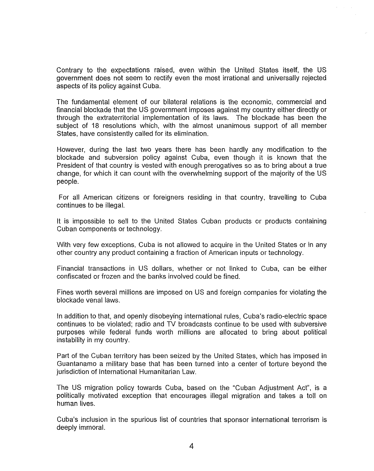Contrary to the expectations raised, even within the United States itself, the US government does not seem to rectify even the most irrational and universally rejected aspects of its policy against Cuba.

The fundamental element of our bilateral relations is the economic, commercial and financial blockade that the US government imposes against my country either directly or through the extraterritorial implementation of its laws. The blockade has been the subject of 18 resolutions which, with the almost unanimous support of all member States, have consistently called for its elimination.

However, during the last two years there has been hardly any modification to the blockade and subversion policy against Cuba, even though it is known that the President of that country is vested with enough prerogatives so as to bring about a true change, for which it can count with the overwhelming support of the majority of the US people.

For all American citizens or foreigners residing in that country, travelling to Cuba continues to be illegal.

It is impossible to sell to the United States Cuban products or products containing Cuban components or technology.

With very few exceptions, Cuba is not allowed to acquire in the United States or in any other country any product containing a fraction of American inputs or technology.

Financial transactions in US dollars, whether or not linked to Cuba, can be either confiscated or frozen and the banks involved could be fined.

Fines worth several millions are imposed on US and foreign companies for violating the blockade venal laws.

In addition to that, and openly disobeying international rules, Cuba's radio-electric space continues to be violated; radio and TV broadcasts continue to be used with subversive purposes while federal funds worth millions are allocated to bring about political instability in my country.

Part of the Cuban territory has been seized by the United States, which has imposed in Guantanamo a military base that has been turned into a center of torture beyond the jurisdiction of International Humanitarian Law.

The US migration policy towards Cuba, based on the "Cuban Adjustment Act", is a politically motivated exception that encourages illegal migration and takes a toll on human lives.

Cuba's inclusion in the spurious list of countries that sponsor international terrorism is deeply immoral.